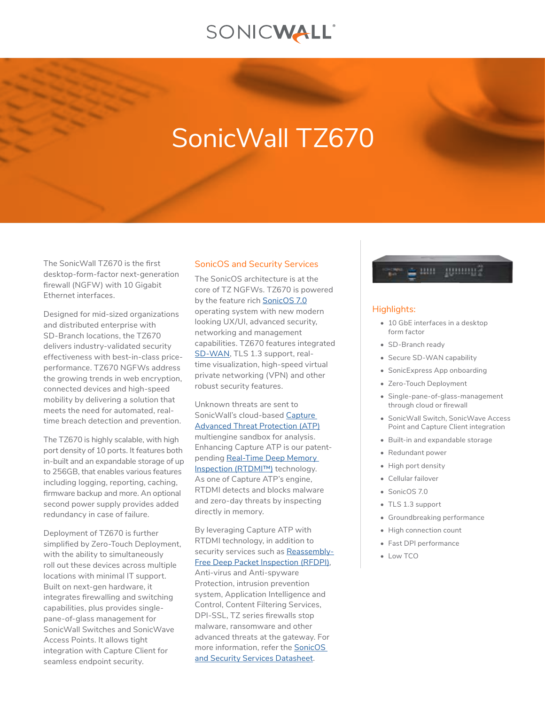# SONICWALL®

# SonicWall TZ670

The SonicWall TZ670 is the first desktop-form-factor next-generation firewall (NGFW) with 10 Gigabit Ethernet interfaces.

Designed for mid-sized organizations and distributed enterprise with SD-Branch locations, the TZ670 delivers industry-validated security effectiveness with best-in-class priceperformance. TZ670 NGFWs address the growing trends in web encryption, connected devices and high-speed mobility by delivering a solution that meets the need for automated, realtime breach detection and prevention.

The TZ670 is highly scalable, with high port density of 10 ports. It features both in-built and an expandable storage of up to 256GB, that enables various features including logging, reporting, caching, firmware backup and more. An optional second power supply provides added redundancy in case of failure.

Deployment of TZ670 is further simplified by Zero-Touch Deployment, with the ability to simultaneously roll out these devices across multiple locations with minimal IT support. Built on next-gen hardware, it integrates firewalling and switching capabilities, plus provides singlepane-of-glass management for SonicWall Switches and SonicWave Access Points. It allows tight integration with Capture Client for seamless endpoint security.

## SonicOS and Security Services

The SonicOS architecture is at the core of TZ NGFWs. TZ670 is powered by the feature rich [SonicOS 7.0](https://www.sonicwall.com/resources/datasheet/datasheet-sonicos-7/) operating system with new modern looking UX/UI, advanced security, networking and management capabilities. TZ670 features integrated [SD-WAN](https://www.sonicwall.com/solutions/use-cases/secure-sd-wan/), TLS 1.3 support, realtime visualization, high-speed virtual private networking (VPN) and other robust security features.

Unknown threats are sent to SonicWall's cloud-based [Capture](https://www.sonicwall.com/products/firewalls/security-services/capture-advanced-threat-protection/)  [Advanced Threat Protection \(ATP\)](https://www.sonicwall.com/products/firewalls/security-services/capture-advanced-threat-protection/) multiengine sandbox for analysis. Enhancing Capture ATP is our patentpending [Real-Time Deep Memory](https://www.sonicwall.com/resources/videos/sonicwall-real-time-deep-memory-inspection-rtdmi-deep-dive/)  [Inspection \(RTDMI™\)](https://www.sonicwall.com/resources/videos/sonicwall-real-time-deep-memory-inspection-rtdmi-deep-dive/) technology. As one of Capture ATP's engine, RTDMI detects and blocks malware and zero-day threats by inspecting directly in memory.

By leveraging Capture ATP with RTDMI technology, in addition to security services such as [Reassembly-](https://www.sonicwall.com/resources/brief/tech-brief-advantages-of-reassembly-free-deep-packet-inspection/)[Free Deep Packet Inspection \(RFDPI\)](https://www.sonicwall.com/resources/brief/tech-brief-advantages-of-reassembly-free-deep-packet-inspection/), Anti-virus and Anti-spyware Protection, intrusion prevention system, Application Intelligence and Control, Content Filtering Services, DPI-SSL, TZ series firewalls stop malware, ransomware and other advanced threats at the gateway. For more information, refer the [SonicOS](https://www.sonicwall.com/resources/datasheet/datasheet-sonicos-7/)  [and Security Services Datasheet](https://www.sonicwall.com/resources/datasheet/datasheet-sonicos-7/).



#### Highlights:

- 10 GbE interfaces in a desktop form factor
- SD-Branch ready
- Secure SD-WAN capability
- SonicExpress App onboarding
- Zero-Touch Deployment
- Single-pane-of-glass-management through cloud or firewall
- SonicWall Switch, SonicWave Access Point and Capture Client integration
- Built-in and expandable storage
- Redundant power
- High port density
- Cellular failover
- SonicOS 7.0
- TLS 1.3 support
- Groundbreaking performance
- High connection count
- Fast DPI performance
- Low TCO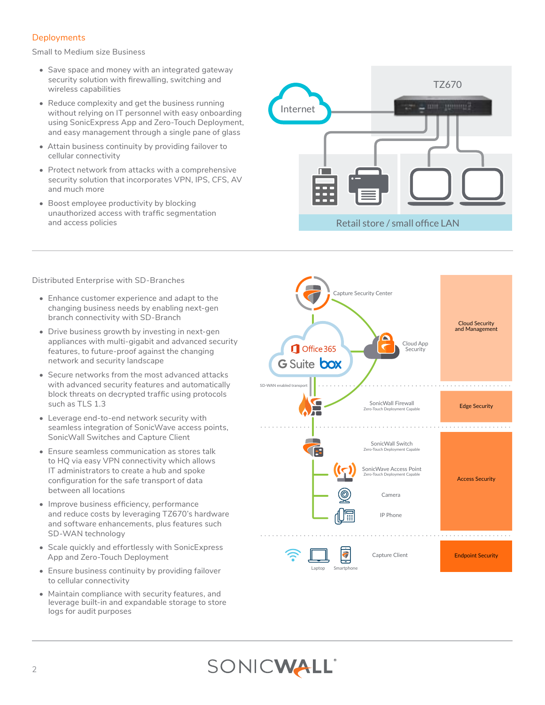# **Deployments**

Small to Medium size Business

- Save space and money with an integrated gateway security solution with firewalling, switching and wireless capabilities
- Reduce complexity and get the business running without relying on IT personnel with easy onboarding using SonicExpress App and Zero-Touch Deployment, and easy management through a single pane of glass
- Attain business continuity by providing failover to cellular connectivity
- Protect network from attacks with a comprehensive security solution that incorporates VPN, IPS, CFS, AV and much more
- Boost employee productivity by blocking unauthorized access with traffic segmentation and access policies

Distributed Enterprise with SD-Branches

- Enhance customer experience and adapt to the changing business needs by enabling next-gen branch connectivity with SD-Branch
- Drive business growth by investing in next-gen appliances with multi-gigabit and advanced security features, to future-proof against the changing network and security landscape
- Secure networks from the most advanced attacks with advanced security features and automatically block threats on decrypted traffic using protocols such as TLS 1.3
- Leverage end-to-end network security with seamless integration of SonicWave access points, SonicWall Switches and Capture Client
- Ensure seamless communication as stores talk to HQ via easy VPN connectivity which allows IT administrators to create a hub and spoke configuration for the safe transport of data between all locations
- Improve business efficiency, performance and reduce costs by leveraging TZ670's hardware and software enhancements, plus features such SD-WAN technology
- Scale quickly and effortlessly with SonicExpress App and Zero-Touch Deployment
- Ensure business continuity by providing failover to cellular connectivity
- Maintain compliance with security features, and leverage built-in and expandable storage to store logs for audit purposes





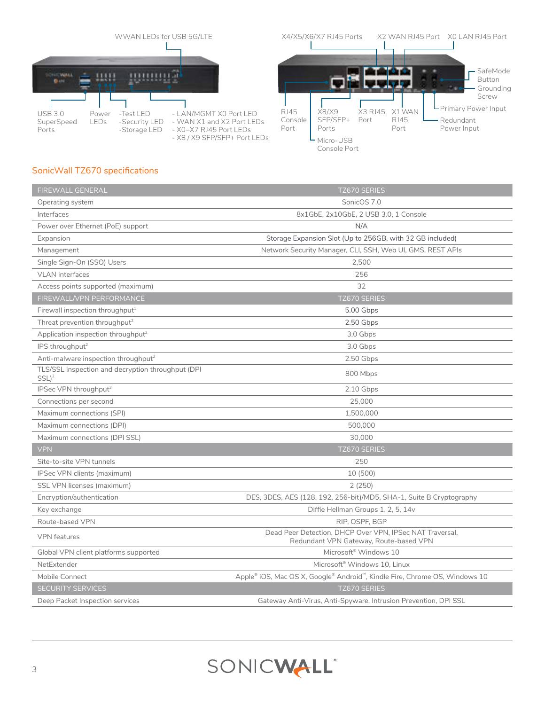

# SonicWall TZ670 specifications

| FIREWALL GENERAL                                              | TZ670 SERIES                                                                                       |
|---------------------------------------------------------------|----------------------------------------------------------------------------------------------------|
| Operating system                                              | SonicOS 7.0                                                                                        |
| Interfaces                                                    | 8x1GbE, 2x10GbE, 2 USB 3.0, 1 Console                                                              |
| Power over Ethernet (PoE) support                             | N/A                                                                                                |
| Expansion                                                     | Storage Expansion Slot (Up to 256GB, with 32 GB included)                                          |
| Management                                                    | Network Security Manager, CLI, SSH, Web UI, GMS, REST APIs                                         |
| Single Sign-On (SSO) Users                                    | 2,500                                                                                              |
| <b>VLAN</b> interfaces                                        | 256                                                                                                |
| Access points supported (maximum)                             | 32                                                                                                 |
| FIREWALL/VPN PERFORMANCE                                      | TZ670 SERIES                                                                                       |
| Firewall inspection throughput $1$                            | 5.00 Gbps                                                                                          |
| Threat prevention throughput <sup>2</sup>                     | 2.50 Gbps                                                                                          |
| Application inspection throughput <sup>2</sup>                | 3.0 Gbps                                                                                           |
| IPS throughput <sup>2</sup>                                   | 3.0 Gbps                                                                                           |
| Anti-malware inspection throughput <sup>2</sup>               | 2.50 Gbps                                                                                          |
| TLS/SSL inspection and decryption throughput (DPI<br>$SSL)^2$ | 800 Mbps                                                                                           |
| IPSec VPN throughput <sup>3</sup>                             | 2.10 Gbps                                                                                          |
| Connections per second                                        | 25,000                                                                                             |
| Maximum connections (SPI)                                     | 1,500,000                                                                                          |
| Maximum connections (DPI)                                     | 500,000                                                                                            |
| Maximum connections (DPI SSL)                                 | 30,000                                                                                             |
| <b>VPN</b>                                                    | TZ670 SERIES                                                                                       |
| Site-to-site VPN tunnels                                      | 250                                                                                                |
| IPSec VPN clients (maximum)                                   | 10 (500)                                                                                           |
| SSL VPN licenses (maximum)                                    | 2(250)                                                                                             |
| Encryption/authentication                                     | DES, 3DES, AES (128, 192, 256-bit)/MD5, SHA-1, Suite B Cryptography                                |
| Key exchange                                                  | Diffie Hellman Groups 1, 2, 5, 14v                                                                 |
| Route-based VPN                                               | RIP, OSPF, BGP                                                                                     |
| <b>VPN</b> features                                           | Dead Peer Detection, DHCP Over VPN, IPSec NAT Traversal,<br>Redundant VPN Gateway, Route-based VPN |
| Global VPN client platforms supported                         | Microsoft <sup>®</sup> Windows 10                                                                  |
| NetExtender                                                   | Microsoft <sup>®</sup> Windows 10. Linux                                                           |
| Mobile Connect                                                | Apple® iOS, Mac OS X, Google® Android™, Kindle Fire, Chrome OS, Windows 10                         |
| <b>SECURITY SERVICES</b>                                      | TZ670 SERIES                                                                                       |
| Deep Packet Inspection services                               | Gateway Anti-Virus, Anti-Spyware, Intrusion Prevention, DPI SSL                                    |

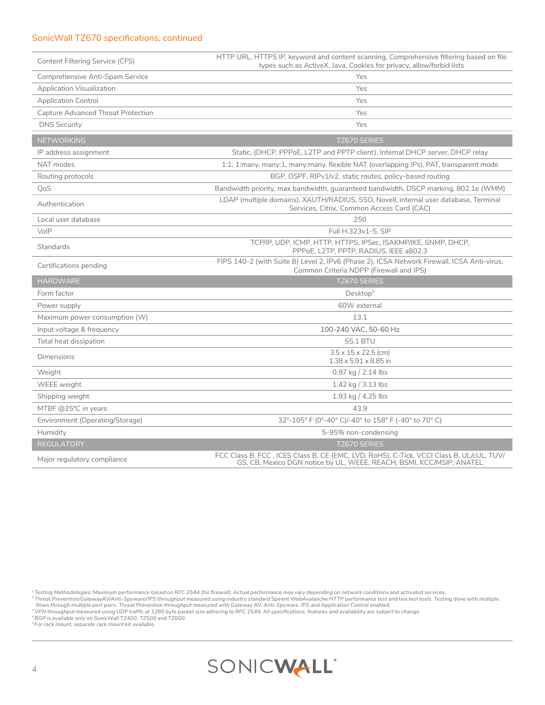# SonicWall TZ670 specifications, continued

| Content Filtering Service (CFS)    | HTTP URL, HTTPS IP, keyword and content scanning, Comprehensive filtering based on file<br>types such as ActiveX, Java, Cookies for privacy, allow/forbid lists |
|------------------------------------|-----------------------------------------------------------------------------------------------------------------------------------------------------------------|
| Comprehensive Anti-Spam Service    | Yes                                                                                                                                                             |
| <b>Application Visualization</b>   | Yes                                                                                                                                                             |
| <b>Application Control</b>         | Yes                                                                                                                                                             |
| Capture Advanced Threat Protection | Yes                                                                                                                                                             |
| <b>DNS Security</b>                | Yes                                                                                                                                                             |
| <b>NETWORKING</b>                  | <b>TZ670 SERIES</b>                                                                                                                                             |
| IP address assignment              | Static, (DHCP, PPPoE, L2TP and PPTP client), Internal DHCP server, DHCP relay                                                                                   |
| NAT modes                          | 1:1, 1:many, many:1, many:many, flexible NAT (overlapping IPs), PAT, transparent mode                                                                           |
| Routing protocols                  | BGP, OSPF, RIPv1/v2, static routes, policy-based routing                                                                                                        |
| QoS                                | Bandwidth priority, max bandwidth, guaranteed bandwidth, DSCP marking, 802.1e (WMM)                                                                             |
| Authentication                     | LDAP (multiple domains), XAUTH/RADIUS, SSO, Novell, internal user database, Terminal<br>Services, Citrix, Common Access Card (CAC)                              |
| Local user database                | 250                                                                                                                                                             |
| VoIP                               | Full H.323v1-5, SIP                                                                                                                                             |
| Standards                          | TCP/IP, UDP, ICMP, HTTP, HTTPS, IPSec, ISAKMP/IKE, SNMP, DHCP,<br>PPPoE, L2TP, PPTP, RADIUS, IEEE a802.3                                                        |
| Certifications pending             | FIPS 140-2 (with Suite B) Level 2, IPv6 (Phase 2), ICSA Network Firewall, ICSA Anti-virus,<br>Common Criteria NDPP (Firewall and IPS)                           |
| <b>HARDWARE</b>                    | <b>TZ670 SERIES</b>                                                                                                                                             |
| Form factor                        | Desktop <sup>5</sup>                                                                                                                                            |
| Power supply                       | 60W external                                                                                                                                                    |
| Maximum power consumption (W)      | 13.1                                                                                                                                                            |
| Input voltage & frequency          | 100-240 VAC, 50-60 Hz                                                                                                                                           |
| Total heat dissipation             | 55.1 BTU                                                                                                                                                        |
| <b>Dimensions</b>                  | $3.5 \times 15 \times 22.5$ (cm)<br>$1.38 \times 5.91 \times 8.85$ in                                                                                           |
| Weight                             | 0.97 kg / 2.14 lbs                                                                                                                                              |
| WEEE weight                        | 1.42 kg / 3.13 lbs                                                                                                                                              |
| Shipping weight                    | 1.93 kg / 4.25 lbs                                                                                                                                              |
| MTBF @25°C in years                | 43.9                                                                                                                                                            |
| Environment (Operating/Storage)    | 32°-105° F (0°-40° C)/-40° to 158° F (-40° to 70° C)                                                                                                            |
| Humidity                           | 5-95% non-condensing                                                                                                                                            |
| <b>REGULATORY</b>                  | <b>TZ670 SERIES</b>                                                                                                                                             |
| Major regulatory compliance        | FCC Class B, FCC, ICES Class B, CE (EMC, LVD, RoHS), C-Tick, VCCI Class B, UL/cUL, TUV/<br>GS, CB, Mexico DGN notice by UL, WEEE, REACH, BSMI, KCC/MSIP, ANATEL |

*<sup>1</sup>Testing Methodologies: Maximum performance based on RFC 2544 (for firewall). Actual performance may vary depending on network conditions and activated services.* 

<sup>2</sup>Threat Prevention/GatewayAV/Anti-Spyware/IPS throughput measured using industry standard Spirent WebAvalanche HTTP performance test and Ixia test tools. Testing done with multiple<br>- flows throughput measured using UDP t

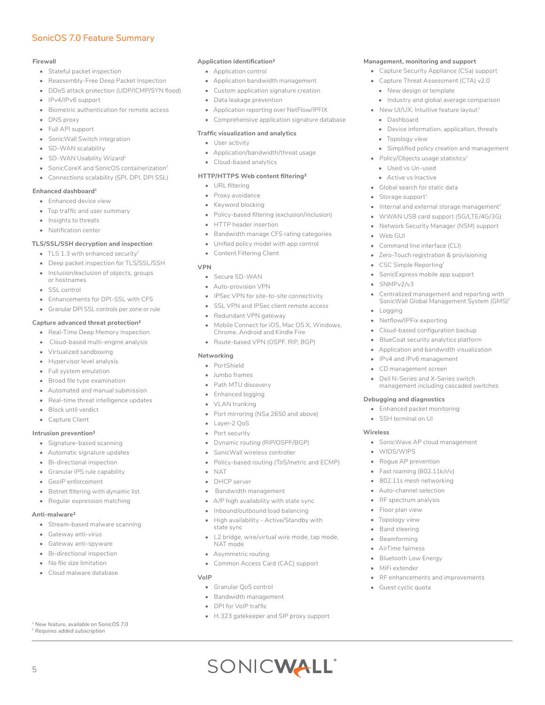# SonicOS 7.0 Feature Summary

#### **Firewall**

- Stateful packet inspection
- Reassembly-Free Deep Packet Inspection
- DDoS attack protection (UDP/ICMP/SYN flood)
- IPv4/IPv6 support
- Biometric authentication for remote access
- DNS proxy
- Full API support
- SonicWall Switch integration
- SD-WAN scalability
- SD-WAN Usability Wizard<sup>1</sup>
- SonicCoreX and SonicOS containerization<sup>1</sup>
- Connections scalability (SPI, DPI, DPI SSL)

#### **Enhanced dashboard1**

- Enhanced device view
- Top traffic and user summary
- Insights to threats
- Notification center

#### **TLS/SSL/SSH decryption and inspection**

- TLS 1.3 with enhanced security<sup>1</sup>
- Deep packet inspection for TLS/SSL/SSH
- Inclusion/exclusion of objects, groups
- or hostnames • SSL control
- Enhancements for DPI-SSL with CFS
- Granular DPI SSL controls per zone or rule

#### **Capture advanced threat protection2**

- Real-Time Deep Memory Inspection
- Cloud-based multi-engine analysis
- Virtualized sandboxing
- Hypervisor level analysis
- Full system emulation
- Broad file type examination
- Automated and manual submission
- Real-time threat intelligence updates
- Block until verdict
- Capture Client

#### **Intrusion prevention2**

- Signature-based scanning
- Automatic signature updates
- Bi-directional inspection
- Granular IPS rule capability
- GeoIP enforcement
- Botnet filtering with dynamic list
- Regular expression matching

#### **Anti-malware2**

5

- Stream-based malware scanning
- Gateway anti-virus
- Gateway anti-spyware
- Bi-directional inspection
- No file size limitation
- Cloud malware database

*1 New feature, available on SonicOS 7.0 2 Requires added subscription*

#### **Application identification2**

- Application control
- Application bandwidth management
- Custom application signature creation
- Data leakage prevention
- Application reporting over NetFlow/IPFIX
- Comprehensive application signature database

**Management, monitoring and support**  • Capture Security Appliance (CS*a*) support • Capture Threat Assessment (CTA) v2.0 • New design or template

• Dashboard

• Web GUI

• SNMPv2/v3

• Logging

• Topology view

• Policy/Objects usage statistics $1$ • Used vs Un-used • Active vs Inactive • Global search for static data Storage support $1$ 

Command line interface (CLI) • Zero-Touch registration & provisioning

• CSC Simple Reporting1 • SonicExpress mobile app support

• Netflow/IPFix exporting • Cloud-based configuration backup • BlueCoat security analytics platform • Application and bandwidth visualization • IPv4 and IPv6 management • CD management screen

**Debugging and diagnostics** • Enhanced packet monitoring • SSH terminal on UI

• WIDS/WIPS • Rogue AP prevention • Fast roaming (802.11k/r/v) • 802.11s mesh networking • Auto-channel selection RF spectrum analysis • Floor plan view • Topology view • Band steering • Beamforming • AirTime fairness • Bluetooth Low Energy • MiFi extender

**Wireless**

Dell N-Series and X-Series switch management including cascaded switches

• SonicWave AP cloud management

• RF enhancements and improvements

Guest cyclic quota

• Industry and global average comparison • New UI/UX, Intuitive feature layout<sup>1</sup>

• Device information, application, threats

• Simplified policy creation and management

Internal and external storage management $^1$ • WWAN USB card support (5G/LTE/4G/3G) • Network Security Manager (NSM) support

• Centralized management and reporting with SonicWall Global Management System (GMS)<sup>2</sup>

#### **Traffic visualization and analytics**

- User activity
- Application/bandwidth/threat usage
- Cloud-based analytics

#### **HTTP/HTTPS Web content filtering2**

- URL filtering
- Proxy avoidance
- Keyword blocking
- Policy-based filtering (exclusion/inclusion)
- HTTP header insertion
- Bandwidth manage CFS rating categories
- Unified policy model with app control
- Content Filtering Client

#### **VPN**

- Secure SD-WAN
- Auto-provision VPN
- IPSec VPN for site-to-site connectivity
- SSL VPN and IPSec client remote access
- Redundant VPN gateway
- Mobile Connect for iOS, Mac OS X, Windows, Chrome, Android and Kindle Fire
- Route-based VPN (OSPF, RIP, BGP)

#### **Networking**

- PortShield
- Jumbo frames
- Path MTU discovery
- Enhanced logging
- VLAN trunking
- Port mirroring (NS*a* 2650 and above)
- Layer-2 QoS
- Port security
- Dynamic routing (RIP/OSPF/BGP)
- SonicWall wireless controller
- Policy-based routing (ToS/metric and ECMP)
- NAT

**VoIP** 

- DHCP server
- Bandwidth management

Asymmetric routing

• Granular QoS control • Bandwidth management • DPI for VoIP traffic

- A/P high availability with state sync
- Inbound/outbound load balancing
- High availability Active/Standby with state sync
- L2 bridge, wire/virtual wire mode, tap mode, NAT mode

• H.323 gatekeeper and SIP proxy support

SONICWALL®

• Common Access Card (CAC) support